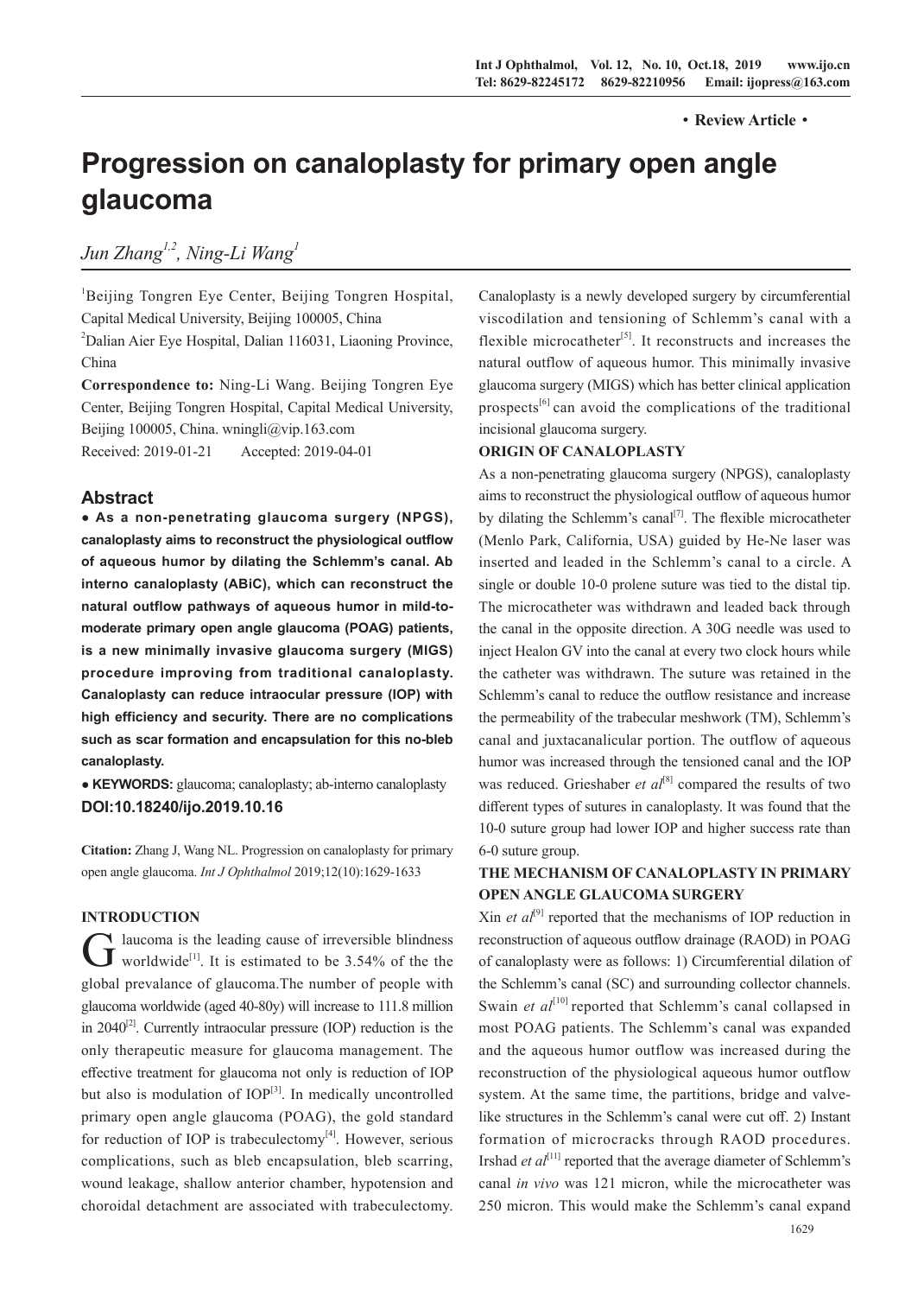#### ·**Review Article**·

# **Progression on canaloplasty for primary open angle glaucoma**

*Jun Zhang1,2, Ning-Li Wang1*

<sup>1</sup>Beijing Tongren Eye Center, Beijing Tongren Hospital, Capital Medical University, Beijing 100005, China <sup>2</sup>Dalian Aier Eye Hospital, Dalian 116031, Liaoning Province, China **Correspondence to:** Ning-Li Wang. Beijing Tongren Eye

Center, Beijing Tongren Hospital, Capital Medical University, Beijing 100005, China. wningli@vip.163.com Received: 2019-01-21 Accepted: 2019-04-01

## **Abstract**

**● As a non-penetrating glaucoma surgery (NPGS), canaloplasty aims to reconstruct the physiological outflow of aqueous humor by dilating the Schlemm's canal. Ab interno canaloplasty (ABiC), which can reconstruct the natural outflow pathways of aqueous humor in mild-tomoderate primary open angle glaucoma (POAG) patients, is a new minimally invasive glaucoma surgery (MIGS) procedure improving from traditional canaloplasty. Canaloplasty can reduce intraocular pressure (IOP) with high efficiency and security. There are no complications such as scar formation and encapsulation for this no-bleb canaloplasty.** 

**● KEYWORDS:** glaucoma; canaloplasty; ab-interno canaloplasty **DOI:10.18240/ijo.2019.10.16**

**Citation:** Zhang J, Wang NL. Progression on canaloplasty for primary open angle glaucoma. *Int J Ophthalmol* 2019;12(10):1629-1633

#### **INTRODUCTION**

 $G$  laucoma is the leading cause of irreversible blindness<br>worldwide<sup>[1]</sup>. It is estimated to be 3.54% of the the global prevalance of glaucoma.The number of people with glaucoma worldwide (aged 40-80y) will increase to 111.8 million in  $2040^{[2]}$ . Currently intraocular pressure (IOP) reduction is the only therapeutic measure for glaucoma management. The effective treatment for glaucoma not only is reduction of IOP but also is modulation of  $IOP^{[3]}$ . In medically uncontrolled primary open angle glaucoma (POAG), the gold standard for reduction of IOP is trabeculectomy $[4]$ . However, serious complications, such as bleb encapsulation, bleb scarring, wound leakage, shallow anterior chamber, hypotension and choroidal detachment are associated with trabeculectomy.

Canaloplasty is a newly developed surgery by circumferential viscodilation and tensioning of Schlemm's canal with a flexible microcatheter<sup>[5]</sup>. It reconstructs and increases the natural outflow of aqueous humor. This minimally invasive glaucoma surgery (MIGS) which has better clinical application prospects<sup>[6]</sup> can avoid the complications of the traditional incisional glaucoma surgery.

#### **ORIGIN OF CANALOPLASTY**

As a non-penetrating glaucoma surgery (NPGS), canaloplasty aims to reconstruct the physiological outflow of aqueous humor by dilating the Schlemm's canal<sup>[7]</sup>. The flexible microcatheter (Menlo Park, California, USA) guided by He-Ne laser was inserted and leaded in the Schlemm's canal to a circle. A single or double 10-0 prolene suture was tied to the distal tip. The microcatheter was withdrawn and leaded back through the canal in the opposite direction. A 30G needle was used to inject Healon GV into the canal at every two clock hours while the catheter was withdrawn. The suture was retained in the Schlemm's canal to reduce the outflow resistance and increase the permeability of the trabecular meshwork (TM), Schlemm's canal and juxtacanalicular portion. The outflow of aqueous humor was increased through the tensioned canal and the IOP was reduced. Grieshaber *et al*<sup>[8]</sup> compared the results of two different types of sutures in canaloplasty. It was found that the 10-0 suture group had lower IOP and higher success rate than 6-0 suture group.

# **THE MECHANISM OF CANALOPLASTY IN PRIMARY OPEN ANGLE GLAUCOMA SURGERY**

 $\chi$ in *et al*<sup>[9]</sup> reported that the mechanisms of IOP reduction in reconstruction of aqueous outflow drainage (RAOD) in POAG of canaloplasty were as follows: 1) Circumferential dilation of the Schlemm's canal (SC) and surrounding collector channels. Swain *et al*<sup>[10]</sup> reported that Schlemm's canal collapsed in most POAG patients. The Schlemm's canal was expanded and the aqueous humor outflow was increased during the reconstruction of the physiological aqueous humor outflow system. At the same time, the partitions, bridge and valvelike structures in the Schlemm's canal were cut off. 2) Instant formation of microcracks through RAOD procedures. Irshad *et al*<sup>[11]</sup> reported that the average diameter of Schlemm's canal *in vivo* was 121 micron, while the microcatheter was 250 micron. This would make the Schlemm's canal expand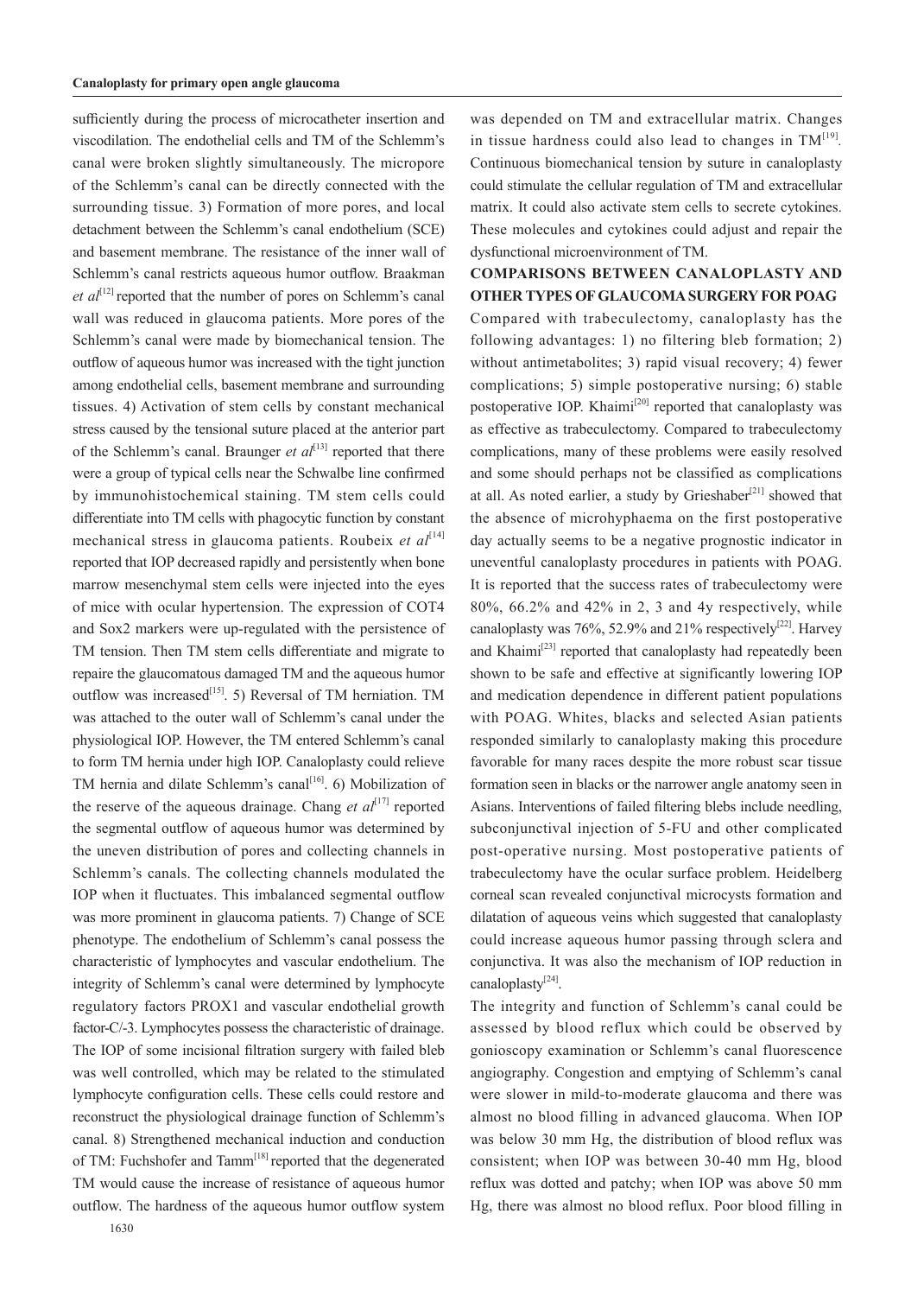sufficiently during the process of microcatheter insertion and viscodilation. The endothelial cells and TM of the Schlemm's canal were broken slightly simultaneously. The micropore of the Schlemm's canal can be directly connected with the surrounding tissue. 3) Formation of more pores, and local detachment between the Schlemm's canal endothelium (SCE) and basement membrane. The resistance of the inner wall of Schlemm's canal restricts aqueous humor outflow. Braakman *et*  $al^{[12]}$  reported that the number of pores on Schlemm's canal wall was reduced in glaucoma patients. More pores of the Schlemm's canal were made by biomechanical tension. The outflow of aqueous humor was increased with the tight junction among endothelial cells, basement membrane and surrounding tissues. 4) Activation of stem cells by constant mechanical stress caused by the tensional suture placed at the anterior part of the Schlemm's canal. Braunger *et al*<sup>[13]</sup> reported that there were a group of typical cells near the Schwalbe line confirmed by immunohistochemical staining. TM stem cells could differentiate into TM cells with phagocytic function by constant mechanical stress in glaucoma patients. Roubeix *et al*<sup>[14]</sup> reported that IOP decreased rapidly and persistently when bone marrow mesenchymal stem cells were injected into the eyes of mice with ocular hypertension. The expression of COT4 and Sox2 markers were up-regulated with the persistence of TM tension. Then TM stem cells differentiate and migrate to repaire the glaucomatous damaged TM and the aqueous humor outflow was increased<sup>[15]</sup>. 5) Reversal of TM herniation. TM was attached to the outer wall of Schlemm's canal under the physiological IOP. However, the TM entered Schlemm's canal to form TM hernia under high IOP. Canaloplasty could relieve TM hernia and dilate Schlemm's canal<sup>[16]</sup>. 6) Mobilization of the reserve of the aqueous drainage. Chang *et*  $al^{[17]}$  reported the segmental outflow of aqueous humor was determined by the uneven distribution of pores and collecting channels in Schlemm's canals. The collecting channels modulated the IOP when it fluctuates. This imbalanced segmental outflow was more prominent in glaucoma patients. 7) Change of SCE phenotype. The endothelium of Schlemm's canal possess the characteristic of lymphocytes and vascular endothelium. The integrity of Schlemm's canal were determined by lymphocyte regulatory factors PROX1 and vascular endothelial growth factor-C/-3. Lymphocytes possess the characteristic of drainage. The IOP of some incisional filtration surgery with failed bleb was well controlled, which may be related to the stimulated lymphocyte configuration cells. These cells could restore and reconstruct the physiological drainage function of Schlemm's canal. 8) Strengthened mechanical induction and conduction of TM: Fuchshofer and Tamm<sup>[18]</sup> reported that the degenerated TM would cause the increase of resistance of aqueous humor outflow. The hardness of the aqueous humor outflow system

was depended on TM and extracellular matrix. Changes in tissue hardness could also lead to changes in  $TM<sup>[19]</sup>$ . Continuous biomechanical tension by suture in canaloplasty could stimulate the cellular regulation of TM and extracellular matrix. It could also activate stem cells to secrete cytokines. These molecules and cytokines could adjust and repair the dysfunctional microenvironment of TM.

# **COMPARISONS BETWEEN CANALOPLASTY AND OTHER TYPES OF GLAUCOMA SURGERY FOR POAG**

Compared with trabeculectomy, canaloplasty has the following advantages: 1) no filtering bleb formation; 2) without antimetabolites; 3) rapid visual recovery; 4) fewer complications; 5) simple postoperative nursing; 6) stable postoperative IOP. Khaimi<sup>[20]</sup> reported that canaloplasty was as effective as trabeculectomy. Compared to trabeculectomy complications, many of these problems were easily resolved and some should perhaps not be classified as complications at all. As noted earlier, a study by Grieshaber<sup>[21]</sup> showed that the absence of microhyphaema on the first postoperative day actually seems to be a negative prognostic indicator in uneventful canaloplasty procedures in patients with POAG. It is reported that the success rates of trabeculectomy were 80%, 66.2% and 42% in 2, 3 and 4y respectively, while canaloplasty was 76%, 52.9% and 21% respectively<sup>[22]</sup>. Harvey and Khaimi<sup>[23]</sup> reported that canaloplasty had repeatedly been shown to be safe and effective at significantly lowering IOP and medication dependence in different patient populations with POAG. Whites, blacks and selected Asian patients responded similarly to canaloplasty making this procedure favorable for many races despite the more robust scar tissue formation seen in blacks or the narrower angle anatomy seen in Asians. Interventions of failed filtering blebs include needling, subconjunctival injection of 5-FU and other complicated post-operative nursing. Most postoperative patients of trabeculectomy have the ocular surface problem. Heidelberg corneal scan revealed conjunctival microcysts formation and dilatation of aqueous veins which suggested that canaloplasty could increase aqueous humor passing through sclera and conjunctiva. It was also the mechanism of IOP reduction in canaloplasty $^{[24]}$ .

The integrity and function of Schlemm's canal could be assessed by blood reflux which could be observed by gonioscopy examination or Schlemm's canal fluorescence angiography. Congestion and emptying of Schlemm's canal were slower in mild-to-moderate glaucoma and there was almost no blood filling in advanced glaucoma. When IOP was below 30 mm Hg, the distribution of blood reflux was consistent; when IOP was between 30-40 mm Hg, blood reflux was dotted and patchy; when IOP was above 50 mm Hg, there was almost no blood reflux. Poor blood filling in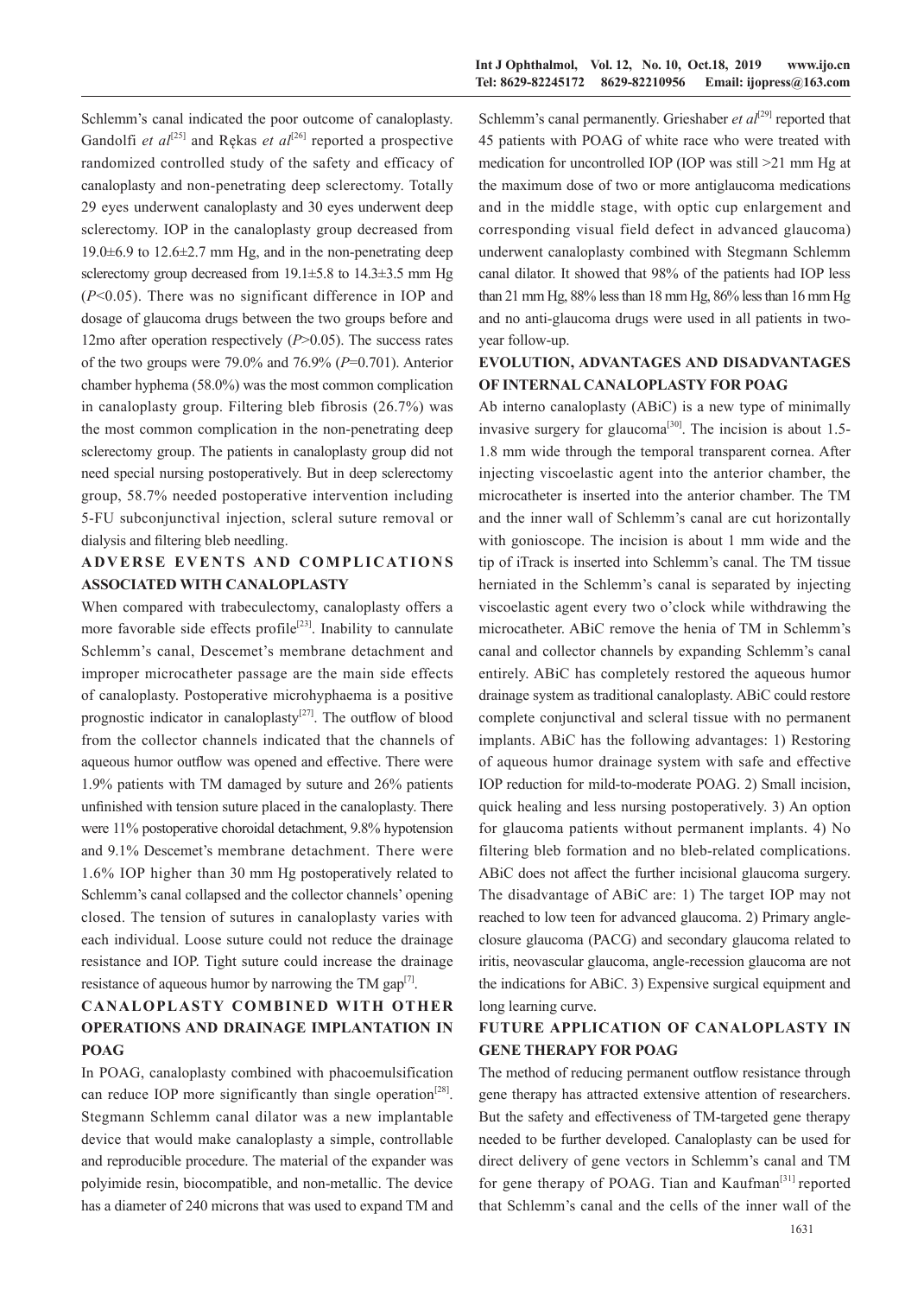Schlemm's canal indicated the poor outcome of canaloplasty. Gandolfi *et al*<sup>[25]</sup> and Rekas *et al*<sup>[26]</sup> reported a prospective randomized controlled study of the safety and efficacy of canaloplasty and non-penetrating deep sclerectomy. Totally 29 eyes underwent canaloplasty and 30 eyes underwent deep sclerectomy. IOP in the canaloplasty group decreased from 19.0±6.9 to 12.6±2.7 mm Hg, and in the non-penetrating deep sclerectomy group decreased from 19.1 $\pm$ 5.8 to 14.3 $\pm$ 3.5 mm Hg (*P*<0.05). There was no significant difference in IOP and dosage of glaucoma drugs between the two groups before and 12mo after operation respectively (*P*>0.05). The success rates of the two groups were 79.0% and 76.9% (*P*=0.701). Anterior chamber hyphema (58.0%) was the most common complication in canaloplasty group. Filtering bleb fibrosis (26.7%) was the most common complication in the non-penetrating deep sclerectomy group. The patients in canaloplasty group did not need special nursing postoperatively. But in deep sclerectomy group, 58.7% needed postoperative intervention including 5-FU subconjunctival injection, scleral suture removal or dialysis and filtering bleb needling.

# **ADVERSE EVENTS AND COMPLICATIONS ASSOCIATED WITH CANALOPLASTY**

When compared with trabeculectomy, canaloplasty offers a more favorable side effects profile<sup>[23]</sup>. Inability to cannulate Schlemm's canal, Descemet's membrane detachment and improper microcatheter passage are the main side effects of canaloplasty. Postoperative microhyphaema is a positive prognostic indicator in canaloplasty<sup>[27]</sup>. The outflow of blood from the collector channels indicated that the channels of aqueous humor outflow was opened and effective. There were 1.9% patients with TM damaged by suture and 26% patients unfinished with tension suture placed in the canaloplasty. There were 11% postoperative choroidal detachment, 9.8% hypotension and 9.1% Descemet's membrane detachment. There were 1.6% IOP higher than 30 mm Hg postoperatively related to Schlemm's canal collapsed and the collector channels' opening closed. The tension of sutures in canaloplasty varies with each individual. Loose suture could not reduce the drainage resistance and IOP. Tight suture could increase the drainage resistance of aqueous humor by narrowing the TM gap $<sup>[7]</sup>$ .</sup>

# **CANALOPLASTY COMBINED WITH OTHER OPERATIONS AND DRAINAGE IMPLANTATION IN POAG**

In POAG, canaloplasty combined with phacoemulsification can reduce IOP more significantly than single operation<sup>[28]</sup>. Stegmann Schlemm canal dilator was a new implantable device that would make canaloplasty a simple, controllable and reproducible procedure. The material of the expander was polyimide resin, biocompatible, and non-metallic. The device has a diameter of 240 microns that was used to expand TM and Schlemm's canal permanently. Grieshaber *et al*<sup>[29]</sup> reported that 45 patients with POAG of white race who were treated with medication for uncontrolled IOP (IOP was still >21 mm Hg at the maximum dose of two or more antiglaucoma medications and in the middle stage, with optic cup enlargement and corresponding visual field defect in advanced glaucoma) underwent canaloplasty combined with Stegmann Schlemm canal dilator. It showed that 98% of the patients had IOP less than 21 mm Hg, 88% less than 18 mm Hg, 86% less than 16 mm Hg and no anti-glaucoma drugs were used in all patients in twoyear follow-up.

### **EVOLUTION, ADVANTAGES AND DISADVANTAGES OF INTERNAL CANALOPLASTY FOR POAG**

Ab interno canaloplasty (ABiC) is a new type of minimally invasive surgery for glaucoma<sup>[30]</sup>. The incision is about  $1.5$ -1.8 mm wide through the temporal transparent cornea. After injecting viscoelastic agent into the anterior chamber, the microcatheter is inserted into the anterior chamber. The TM and the inner wall of Schlemm's canal are cut horizontally with gonioscope. The incision is about 1 mm wide and the tip of iTrack is inserted into Schlemm's canal. The TM tissue herniated in the Schlemm's canal is separated by injecting viscoelastic agent every two o'clock while withdrawing the microcatheter. ABiC remove the henia of TM in Schlemm's canal and collector channels by expanding Schlemm's canal entirely. ABiC has completely restored the aqueous humor drainage system as traditional canaloplasty. ABiC could restore complete conjunctival and scleral tissue with no permanent implants. ABiC has the following advantages: 1) Restoring of aqueous humor drainage system with safe and effective IOP reduction for mild-to-moderate POAG. 2) Small incision, quick healing and less nursing postoperatively. 3) An option for glaucoma patients without permanent implants. 4) No filtering bleb formation and no bleb-related complications. ABiC does not affect the further incisional glaucoma surgery. The disadvantage of ABiC are: 1) The target IOP may not reached to low teen for advanced glaucoma. 2) Primary angleclosure glaucoma (PACG) and secondary glaucoma related to iritis, neovascular glaucoma, angle-recession glaucoma are not the indications for ABiC. 3) Expensive surgical equipment and long learning curve.

#### **FUTURE APPLICATION OF CANALOPLASTY IN GENE THERAPY FOR POAG**

The method of reducing permanent outflow resistance through gene therapy has attracted extensive attention of researchers. But the safety and effectiveness of TM-targeted gene therapy needed to be further developed. Canaloplasty can be used for direct delivery of gene vectors in Schlemm's canal and TM for gene therapy of POAG. Tian and Kaufman $[31]$  reported that Schlemm's canal and the cells of the inner wall of the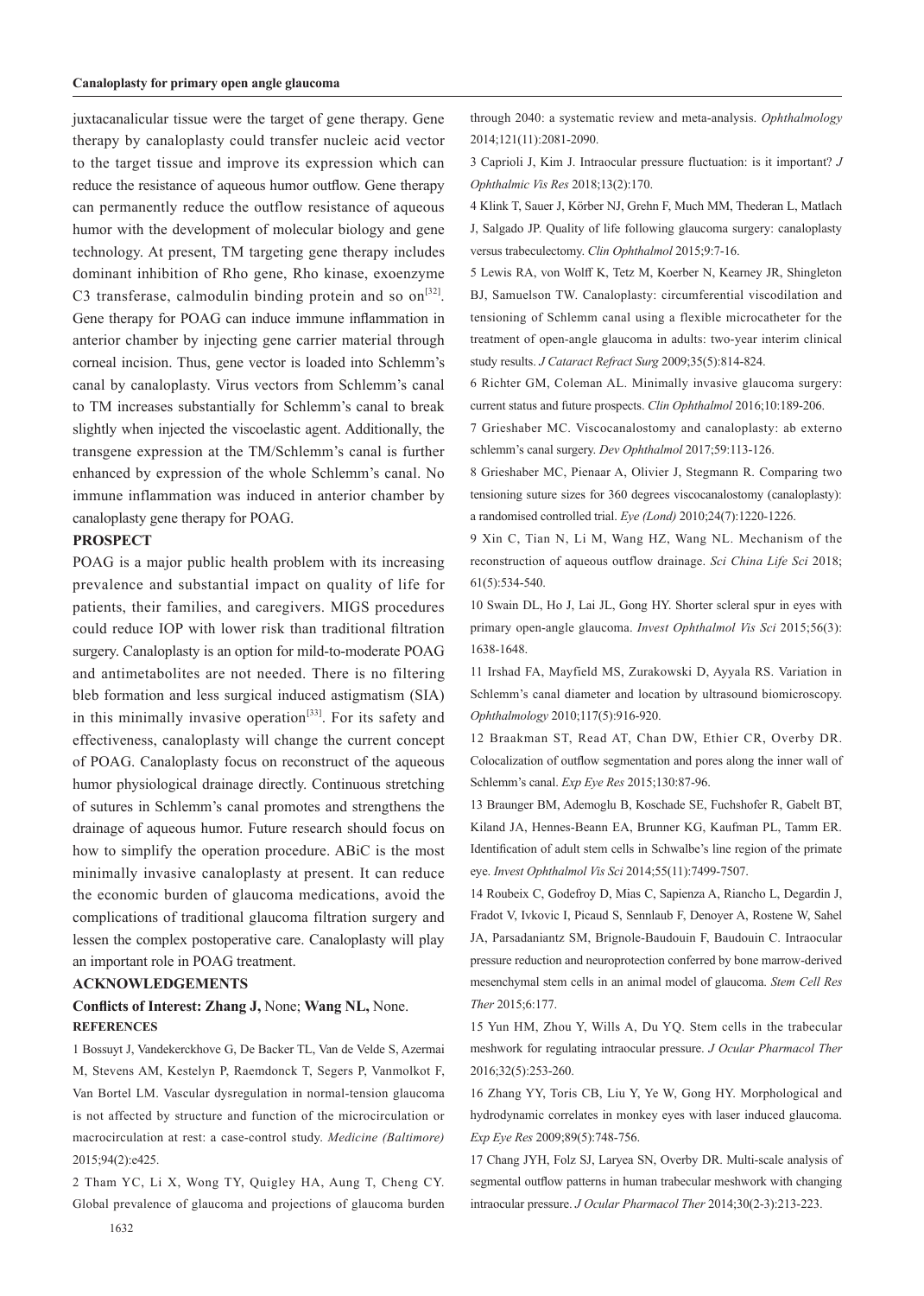juxtacanalicular tissue were the target of gene therapy. Gene therapy by canaloplasty could transfer nucleic acid vector to the target tissue and improve its expression which can reduce the resistance of aqueous humor outflow. Gene therapy can permanently reduce the outflow resistance of aqueous humor with the development of molecular biology and gene technology. At present, TM targeting gene therapy includes dominant inhibition of Rho gene, Rho kinase, exoenzyme C3 transferase, calmodulin binding protein and so  $\text{on}^{[32]}$ . Gene therapy for POAG can induce immune inflammation in anterior chamber by injecting gene carrier material through corneal incision. Thus, gene vector is loaded into Schlemm's canal by canaloplasty. Virus vectors from Schlemm's canal to TM increases substantially for Schlemm's canal to break slightly when injected the viscoelastic agent. Additionally, the transgene expression at the TM/Schlemm's canal is further enhanced by expression of the whole Schlemm's canal. No immune inflammation was induced in anterior chamber by canaloplasty gene therapy for POAG.

### **PROSPECT**

POAG is a major public health problem with its increasing prevalence and substantial impact on quality of life for patients, their families, and caregivers. MIGS procedures could reduce IOP with lower risk than traditional filtration surgery. Canaloplasty is an option for mild-to-moderate POAG and antimetabolites are not needed. There is no filtering bleb formation and less surgical induced astigmatism (SIA) in this minimally invasive operation<sup>[33]</sup>. For its safety and effectiveness, canaloplasty will change the current concept of POAG. Canaloplasty focus on reconstruct of the aqueous humor physiological drainage directly. Continuous stretching of sutures in Schlemm's canal promotes and strengthens the drainage of aqueous humor. Future research should focus on how to simplify the operation procedure. ABiC is the most minimally invasive canaloplasty at present. It can reduce the economic burden of glaucoma medications, avoid the complications of traditional glaucoma filtration surgery and lessen the complex postoperative care. Canaloplasty will play an important role in POAG treatment.

#### **ACKNOWLEDGEMENTS**

#### **Conflicts of Interest: Zhang J,** None; **Wang NL,** None. **REFERENCES**

1 Bossuyt J, Vandekerckhove G, De Backer TL, Van de Velde S, Azermai M, Stevens AM, Kestelyn P, Raemdonck T, Segers P, Vanmolkot F, Van Bortel LM. Vascular dysregulation in normal-tension glaucoma is not affected by structure and function of the microcirculation or macrocirculation at rest: a case-control study. *Medicine (Baltimore)* 2015;94(2):e425.

2 Tham YC, Li X, Wong TY, Quigley HA, Aung T, Cheng CY. Global prevalence of glaucoma and projections of glaucoma burden through 2040: a systematic review and meta-analysis. *Ophthalmology* 2014;121(11):2081-2090.

3 Caprioli J, Kim J. Intraocular pressure fluctuation: is it important? *J Ophthalmic Vis Res* 2018;13(2):170.

4 Klink T, Sauer J, Körber NJ, Grehn F, Much MM, Thederan L, Matlach J, Salgado JP. Quality of life following glaucoma surgery: canaloplasty versus trabeculectomy. *Clin Ophthalmol* 2015;9:7-16.

5 Lewis RA, von Wolff K, Tetz M, Koerber N, Kearney JR, Shingleton BJ, Samuelson TW. Canaloplasty: circumferential viscodilation and tensioning of Schlemm canal using a flexible microcatheter for the treatment of open-angle glaucoma in adults: two-year interim clinical study results. *J Cataract Refract Surg* 2009;35(5):814-824.

6 Richter GM, Coleman AL. Minimally invasive glaucoma surgery: current status and future prospects. *Clin Ophthalmol* 2016;10:189-206.

7 Grieshaber MC. Viscocanalostomy and canaloplasty: ab externo schlemm's canal surgery. *Dev Ophthalmol* 2017;59:113-126.

8 Grieshaber MC, Pienaar A, Olivier J, Stegmann R. Comparing two tensioning suture sizes for 360 degrees viscocanalostomy (canaloplasty): a randomised controlled trial. *Eye (Lond)* 2010;24(7):1220-1226.

9 Xin C, Tian N, Li M, Wang HZ, Wang NL. Mechanism of the reconstruction of aqueous outflow drainage. *Sci China Life Sci* 2018; 61(5):534-540.

10 Swain DL, Ho J, Lai JL, Gong HY. Shorter scleral spur in eyes with primary open-angle glaucoma. *Invest Ophthalmol Vis Sci* 2015;56(3): 1638-1648.

11 Irshad FA, Mayfield MS, Zurakowski D, Ayyala RS. Variation in Schlemm's canal diameter and location by ultrasound biomicroscopy. *Ophthalmology* 2010;117(5):916-920.

12 Braakman ST, Read AT, Chan DW, Ethier CR, Overby DR. Colocalization of outflow segmentation and pores along the inner wall of Schlemm's canal. *Exp Eye Res* 2015;130:87-96.

13 Braunger BM, Ademoglu B, Koschade SE, Fuchshofer R, Gabelt BT, Kiland JA, Hennes-Beann EA, Brunner KG, Kaufman PL, Tamm ER. Identification of adult stem cells in Schwalbe's line region of the primate eye. *Invest Ophthalmol Vis Sci* 2014;55(11):7499-7507.

14 Roubeix C, Godefroy D, Mias C, Sapienza A, Riancho L, Degardin J, Fradot V, Ivkovic I, Picaud S, Sennlaub F, Denoyer A, Rostene W, Sahel JA, Parsadaniantz SM, Brignole-Baudouin F, Baudouin C. Intraocular pressure reduction and neuroprotection conferred by bone marrow-derived mesenchymal stem cells in an animal model of glaucoma. *Stem Cell Res Ther* 2015;6:177.

15 Yun HM, Zhou Y, Wills A, Du YQ. Stem cells in the trabecular meshwork for regulating intraocular pressure. *J Ocular Pharmacol Ther* 2016;32(5):253-260.

16 Zhang YY, Toris CB, Liu Y, Ye W, Gong HY. Morphological and hydrodynamic correlates in monkey eyes with laser induced glaucoma. *Exp Eye Res* 2009;89(5):748-756.

17 Chang JYH, Folz SJ, Laryea SN, Overby DR. Multi-scale analysis of segmental outflow patterns in human trabecular meshwork with changing intraocular pressure. *J Ocular Pharmacol Ther* 2014;30(2-3):213-223.